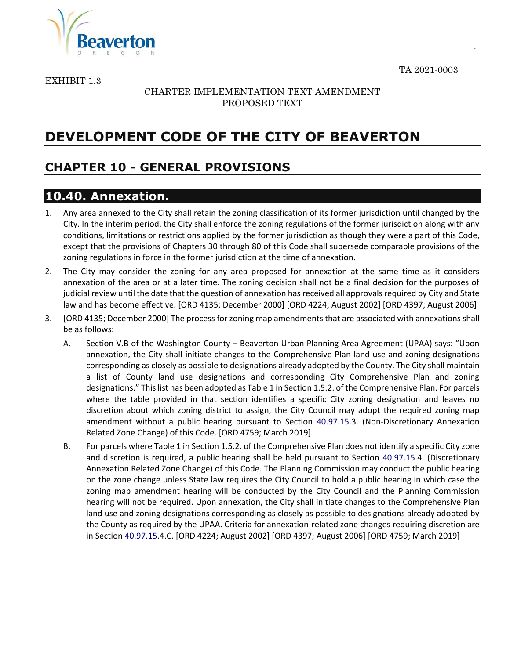TA 2021-0003

.



EXHIBIT 1.3

#### CHARTER IMPLEMENTATION TEXT AMENDMENT PROPOSED TEXT

# **DEVELOPMENT CODE OF THE CITY OF BEAVERTON**

## **CHAPTER 10 - GENERAL PROVISIONS**

### **10.40. Annexation.**

- 1. Any area annexed to the City shall retain the zoning classification of its former jurisdiction until changed by the City. In the interim period, the City shall enforce the zoning regulations of the former jurisdiction along with any conditions, limitations or restrictions applied by the former jurisdiction as though they were a part of this Code, except that the provisions of Chapters 30 through 80 of this Code shall supersede comparable provisions of the zoning regulations in force in the former jurisdiction at the time of annexation.
- 2. The City may consider the zoning for any area proposed for annexation at the same time as it considers annexation of the area or at a later time. The zoning decision shall not be a final decision for the purposes of judicial review until the date that the question of annexation has received all approvals required by City and State law and has become effective. [ORD 4135; December 2000] [ORD 4224; August 2002] [ORD 4397; August 2006]
- 3. [ORD 4135; December 2000] The process for zoning map amendments that are associated with annexations shall be as follows:
	- A. Section V.B of the Washington County Beaverton Urban Planning Area Agreement (UPAA) says: "Upon annexation, the City shall initiate changes to the Comprehensive Plan land use and zoning designations corresponding as closely as possible to designations already adopted by the County. The City shall maintain a list of County land use designations and corresponding City Comprehensive Plan and zoning designations." This list has been adopted as Table 1 in Section 1.5.2. of the Comprehensive Plan. For parcels where the table provided in that section identifies a specific City zoning designation and leaves no discretion about which zoning district to assign, the City Council may adopt the required zoning map amendment without a public hearing pursuant to Section 40.97.15.3. (Non-Discretionary Annexation Related Zone Change) of this Code. [ORD 4759; March 2019]
	- B. For parcels where Table 1 in Section 1.5.2. of the Comprehensive Plan does not identify a specific City zone and discretion is required, a public hearing shall be held pursuant to Section 40.97.15.4. (Discretionary Annexation Related Zone Change) of this Code. The Planning Commission may conduct the public hearing on the zone change unless State law requires the City Council to hold a public hearing in which case the zoning map amendment hearing will be conducted by the City Council and the Planning Commission hearing will not be required. Upon annexation, the City shall initiate changes to the Comprehensive Plan land use and zoning designations corresponding as closely as possible to designations already adopted by the County as required by the UPAA. Criteria for annexation-related zone changes requiring discretion are in Section 40.97.15.4.C. [ORD 4224; August 2002] [ORD 4397; August 2006] [ORD 4759; March 2019]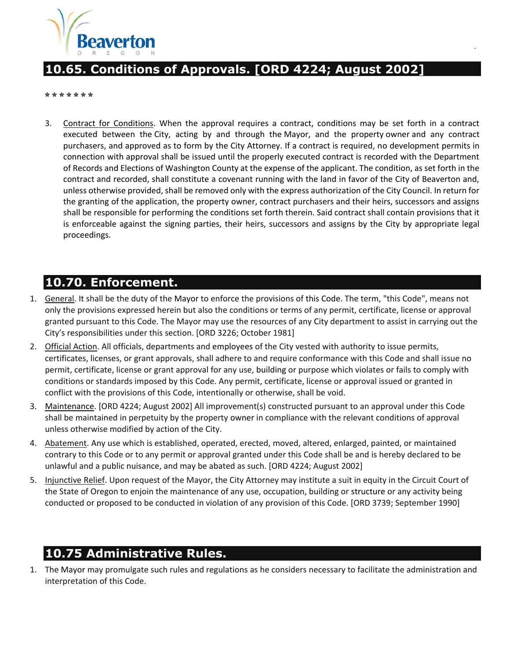

## **10.65. Conditions of Approvals. [ORD 4224; August 2002]**

**\* \* \* \* \* \* \***

3. Contract for Conditions. When the approval requires a contract, conditions may be set forth in a contract executed between the [City,](http://online.encodeplus.com/regs/beaverton-or/doc-view.aspx?pn=0&ajax=0&secid=930) acting by and through the [Mayor,](http://online.encodeplus.com/regs/beaverton-or/doc-view.aspx?pn=0&ajax=0&secid=1111) and the property [owner](http://online.encodeplus.com/regs/beaverton-or/doc-view.aspx?pn=0&ajax=0&secid=1153) and any contract purchasers, and approved as to form by the City Attorney. If a contract is required, no development permits in connection with approval shall be issued until the properly executed contract is recorded with the Department of Records and Elections of Washington County at the expense of the applicant. The condition, as set forth in the contract and recorded, shall constitute a covenant running with the land in favor of the City of Beaverton and, unless otherwise provided, shall be removed only with the express authorization of the City Council. In return for the granting of the application, the property owner, contract purchasers and their heirs, successors and assigns shall be responsible for performing the conditions set forth therein. Said contract shall contain provisions that it is enforceable against the signing parties, their heirs, successors and assigns by the City by appropriate legal proceedings.

.

### **10.70. Enforcement.**

- 1. General. It shall be the duty of the [Mayor](http://online.encodeplus.com/regs/beaverton-or/doc-view.aspx?pn=0&ajax=0&secid=1111) to enforce the provisions of [this Code.](http://online.encodeplus.com/regs/beaverton-or/doc-view.aspx?pn=0&ajax=0&secid=937) The term, "this Code", means not only the provisions expressed herein but also the conditions or terms of any permit, certificate, license or approval granted pursuant to this Code. The Mayor may use the resources of any [City](http://online.encodeplus.com/regs/beaverton-or/doc-view.aspx?pn=0&ajax=0&secid=930) department to assist in carrying out the City's responsibilities under this section. [ORD 3226; October 1981]
- 2. Official Action. All officials, departments and [employees](http://online.encodeplus.com/regs/beaverton-or/doc-view.aspx?pn=0&ajax=0&secid=1002) of the City vested with authority to issue permits, certificates, licenses, or grant approvals, shall adhere to and require conformance with this Code and shall issue no permit, certificate, license or grant approval for any use, [building](http://online.encodeplus.com/regs/beaverton-or/doc-view.aspx?pn=0&ajax=0&secid=910) or purpose which violates or fails to comply with conditions or standards imposed by this Code. Any permit, certificate, license or approval issued or granted in conflict with the provisions of this Code, intentionally or otherwise, shall be void.
- 3. [Maintenance.](http://online.encodeplus.com/regs/beaverton-or/doc-view.aspx?pn=0&ajax=0&secid=1100) [ORD 4224; August 2002] All improvement(s) constructed pursuant to an approval under this Code shall be maintained in perpetuity by the property [owner](http://online.encodeplus.com/regs/beaverton-or/doc-view.aspx?pn=0&ajax=0&secid=1153) in compliance with the relevant conditions of approval unless otherwise modified by action of the City.
- 4. Abatement. Any use which is established, operated, erected, moved, altered, enlarged, painted, or maintained contrary to this Code or to any permit or approval granted under this Code shall be and is hereby declared to be unlawful and a public nuisance, and may be abated as such. [ORD 4224; August 2002]
- 5. Injunctive Relief. Upon request of the Mayor, the City Attorney may institute a suit in equity in the Circuit Court of the State of Oregon to enjoin the maintenance of any use, occupation, building or [structure](http://online.encodeplus.com/regs/beaverton-or/doc-view.aspx?pn=0&ajax=0&secid=1281) or any activity being conducted or proposed to be conducted in violation of any provision of this Code. [ORD 3739; September 1990]

### **10.75 Administrative Rules.**

1. The [Mayor](http://online.encodeplus.com/regs/beaverton-or/doc-view.aspx?pn=0&ajax=0&secid=1111) may promulgate such rules and regulations as he considers necessary to facilitate the administration and interpretation of this Code.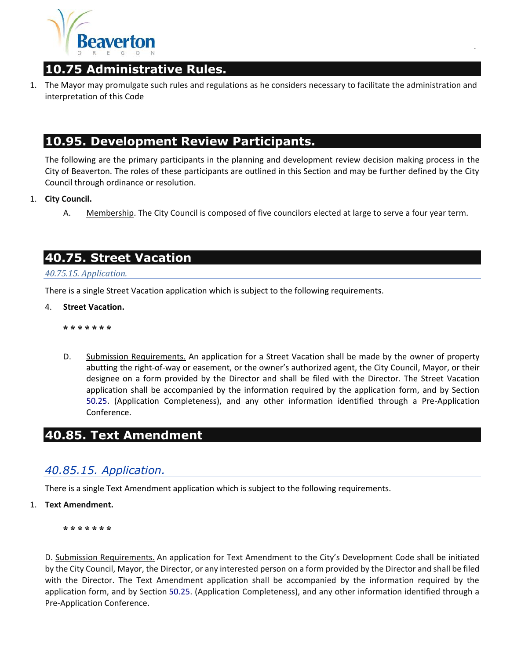

## **10.75 Administrative Rules.**

1. The [Mayor](http://online.encodeplus.com/regs/beaverton-or/doc-view.aspx?pn=0&ajax=0&secid=1111) may promulgate such rules and regulations as he considers necessary to facilitate the administration and interpretation of [this Code](http://online.encodeplus.com/regs/beaverton-or/doc-view.aspx?pn=0&ajax=0&secid=937)

.

### **10.95. Development Review Participants.**

The following are the primary participants in the planning and development review decision making process in the City of Beaverton. The roles of these participants are outlined in this Section and may be further defined by the City Council through ordinance or resolution.

- 1. **City Council.**
	- A. Membership. The City Council is composed of five councilors elected at large to serve a four year term.

### **40.75. Street Vacation**

*40.75.15. Application.*

There is a single Street Vacation application which is subject to the following requirements.

4. **Street Vacation.**

**\* \* \* \* \* \* \***

D. Submission Requirements. An application for a Street Vacation shall be made by the owner of property abutting the right-of-way or easement, or the owner's authorized agent, the City Council, Mayor, or their designee on a form provided by the Director and shall be filed with the Director. The Street Vacation application shall be accompanied by the information required by the application form, and by Section 50.25. (Application Completeness), and any other information identified through a Pre-Application Conference.

### **40.85. Text Amendment**

### *40.85.15. Application.*

There is a single Text Amendment application which is subject to the following requirements.

1. **Text Amendment.**

**\* \* \* \* \* \* \***

D. Submission Requirements. An application for Text Amendment to the City's Development Code shall be initiated by the City Council, [Mayor,](http://online.encodeplus.com/regs/beaverton-or/doc-view.aspx?pn=0&ajax=0&secid=1111) the [Director,](http://online.encodeplus.com/regs/beaverton-or/doc-view.aspx?pn=0&ajax=0&secid=976) or any interested [person](http://online.encodeplus.com/regs/beaverton-or/doc-view.aspx?pn=0&ajax=0&secid=1180) on a form provided by the Director and shall be filed with the Director. The Text Amendment application shall be accompanied by the information required by the application form, and by Section [50.25.](http://online.encodeplus.com/regs/beaverton-or/doc-viewer.aspx?ajax=0&tocid=001.006.005) (Application Completeness), and any other information identified through a Pre-Application Conference.